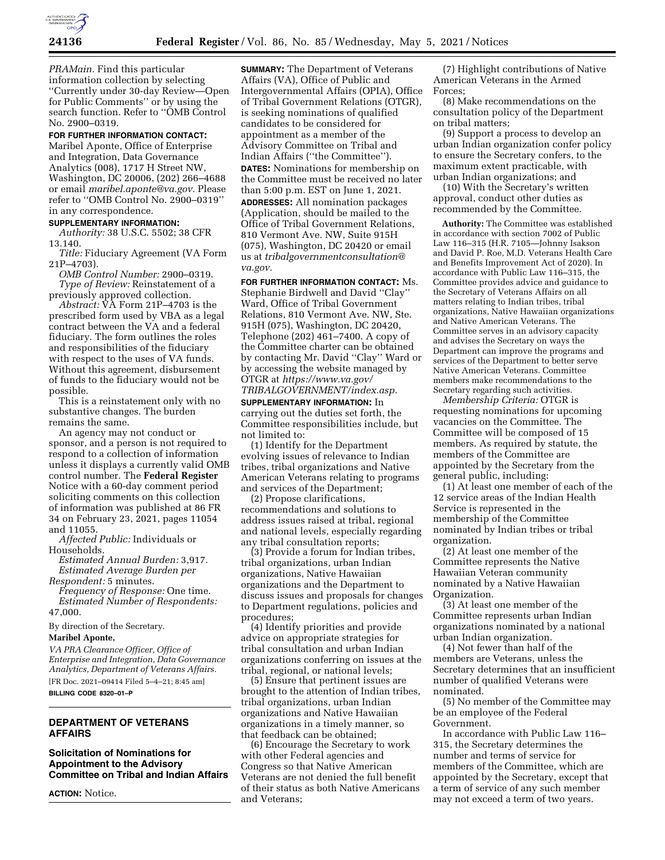

*PRAMain.* Find this particular information collection by selecting ''Currently under 30-day Review—Open for Public Comments'' or by using the search function. Refer to ''OMB Control No. 2900–0319.

## **FOR FURTHER INFORMATION CONTACT:**

Maribel Aponte, Office of Enterprise and Integration, Data Governance Analytics (008), 1717 H Street NW, Washington, DC 20006, (202) 266–4688 or email *[maribel.aponte@va.gov.](mailto:maribel.aponte@va.gov)* Please refer to ''OMB Control No. 2900–0319'' in any correspondence.

#### **SUPPLEMENTARY INFORMATION:**

*Authority:* 38 U.S.C. 5502; 38 CFR 13.140.

*Title:* Fiduciary Agreement (VA Form 21P–4703).

*OMB Control Number:* 2900–0319. *Type of Review:* Reinstatement of a previously approved collection.

*Abstract:* VA Form 21P–4703 is the prescribed form used by VBA as a legal contract between the VA and a federal fiduciary. The form outlines the roles and responsibilities of the fiduciary with respect to the uses of VA funds. Without this agreement, disbursement of funds to the fiduciary would not be possible.

This is a reinstatement only with no substantive changes. The burden remains the same.

An agency may not conduct or sponsor, and a person is not required to respond to a collection of information unless it displays a currently valid OMB control number. The **Federal Register**  Notice with a 60-day comment period soliciting comments on this collection of information was published at 86 FR 34 on February 23, 2021, pages 11054 and 11055.

*Affected Public:* Individuals or Households.

*Estimated Annual Burden:* 3,917. *Estimated Average Burden per* 

*Respondent:* 5 minutes. *Frequency of Response:* One time. *Estimated Number of Respondents:*  47,000

By direction of the Secretary.

#### **Maribel Aponte,**

*VA PRA Clearance Officer, Office of Enterprise and Integration, Data Governance Analytics, Department of Veterans Affairs.*  [FR Doc. 2021–09414 Filed 5–4–21; 8:45 am]

# **BILLING CODE 8320–01–P**

# **DEPARTMENT OF VETERANS AFFAIRS**

## **Solicitation of Nominations for Appointment to the Advisory Committee on Tribal and Indian Affairs**

**ACTION:** Notice.

**SUMMARY:** The Department of Veterans Affairs (VA), Office of Public and Intergovernmental Affairs (OPIA), Office of Tribal Government Relations (OTGR), is seeking nominations of qualified candidates to be considered for appointment as a member of the Advisory Committee on Tribal and Indian Affairs (''the Committee''). **DATES:** Nominations for membership on the Committee must be received no later than 5:00 p.m. EST on June 1, 2021.

**ADDRESSES:** All nomination packages (Application, should be mailed to the Office of Tribal Government Relations, 810 Vermont Ave. NW, Suite 915H (075), Washington, DC 20420 or email us at *[tribalgovernmentconsultation@](mailto:tribalgovernmentconsultation@va.gov) [va.gov.](mailto:tribalgovernmentconsultation@va.gov)* 

**FOR FURTHER INFORMATION CONTACT:** Ms. Stephanie Birdwell and David ''Clay'' Ward, Office of Tribal Government Relations, 810 Vermont Ave. NW, Ste. 915H (075), Washington, DC 20420, Telephone (202) 461–7400. A copy of the Committee charter can be obtained by contacting Mr. David ''Clay'' Ward or by accessing the website managed by OTGR at *[https://www.va.gov/](https://www.va.gov/TRIBALGOVERNMENT/index.asp) [TRIBALGOVERNMENT/index.asp.](https://www.va.gov/TRIBALGOVERNMENT/index.asp)* 

**SUPPLEMENTARY INFORMATION:** In carrying out the duties set forth, the Committee responsibilities include, but not limited to:

(1) Identify for the Department evolving issues of relevance to Indian tribes, tribal organizations and Native American Veterans relating to programs and services of the Department;

(2) Propose clarifications, recommendations and solutions to address issues raised at tribal, regional and national levels, especially regarding any tribal consultation reports;

(3) Provide a forum for Indian tribes, tribal organizations, urban Indian organizations, Native Hawaiian organizations and the Department to discuss issues and proposals for changes to Department regulations, policies and procedures;

(4) Identify priorities and provide advice on appropriate strategies for tribal consultation and urban Indian organizations conferring on issues at the tribal, regional, or national levels;

(5) Ensure that pertinent issues are brought to the attention of Indian tribes, tribal organizations, urban Indian organizations and Native Hawaiian organizations in a timely manner, so that feedback can be obtained;

(6) Encourage the Secretary to work with other Federal agencies and Congress so that Native American Veterans are not denied the full benefit of their status as both Native Americans and Veterans;

(7) Highlight contributions of Native American Veterans in the Armed Forces;

(8) Make recommendations on the consultation policy of the Department on tribal matters;

(9) Support a process to develop an urban Indian organization confer policy to ensure the Secretary confers, to the maximum extent practicable, with urban Indian organizations; and

(10) With the Secretary's written approval, conduct other duties as recommended by the Committee.

**Authority:** The Committee was established in accordance with section 7002 of Public Law 116–315 (H.R. 7105—Johnny Isakson and David P. Roe, M.D. Veterans Health Care and Benefits Improvement Act of 2020). In accordance with Public Law 116–315, the Committee provides advice and guidance to the Secretary of Veterans Affairs on all matters relating to Indian tribes, tribal organizations, Native Hawaiian organizations and Native American Veterans. The Committee serves in an advisory capacity and advises the Secretary on ways the Department can improve the programs and services of the Department to better serve Native American Veterans. Committee members make recommendations to the Secretary regarding such activities.

*Membership Criteria:* OTGR is requesting nominations for upcoming vacancies on the Committee. The Committee will be composed of 15 members. As required by statute, the members of the Committee are appointed by the Secretary from the general public, including:

(1) At least one member of each of the 12 service areas of the Indian Health Service is represented in the membership of the Committee nominated by Indian tribes or tribal organization.

(2) At least one member of the Committee represents the Native Hawaiian Veteran community nominated by a Native Hawaiian Organization.

(3) At least one member of the Committee represents urban Indian organizations nominated by a national urban Indian organization.

(4) Not fewer than half of the members are Veterans, unless the Secretary determines that an insufficient number of qualified Veterans were nominated.

(5) No member of the Committee may be an employee of the Federal Government.

In accordance with Public Law 116– 315, the Secretary determines the number and terms of service for members of the Committee, which are appointed by the Secretary, except that a term of service of any such member may not exceed a term of two years.